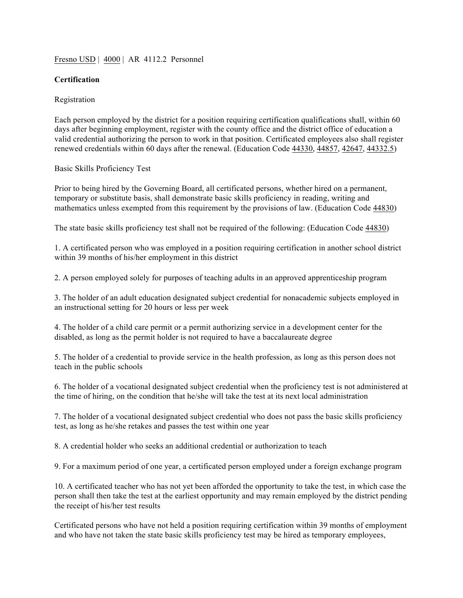#### Fresno USD | 4000 | AR 4112.2 Personnel

## **Certification**

#### Registration

Each person employed by the district for a position requiring certification qualifications shall, within 60 days after beginning employment, register with the county office and the district office of education a valid credential authorizing the person to work in that position. Certificated employees also shall register renewed credentials within 60 days after the renewal. (Education Code 44330, 44857, 42647, 44332.5)

#### Basic Skills Proficiency Test

Prior to being hired by the Governing Board, all certificated persons, whether hired on a permanent, temporary or substitute basis, shall demonstrate basic skills proficiency in reading, writing and mathematics unless exempted from this requirement by the provisions of law. (Education Code  $\frac{44830}{ }$ )

The state basic skills proficiency test shall not be required of the following: (Education Code 44830)

1. A certificated person who was employed in a position requiring certification in another school district within 39 months of his/her employment in this district

2. A person employed solely for purposes of teaching adults in an approved apprenticeship program

3. The holder of an adult education designated subject credential for nonacademic subjects employed in an instructional setting for 20 hours or less per week

4. The holder of a child care permit or a permit authorizing service in a development center for the disabled, as long as the permit holder is not required to have a baccalaureate degree

5. The holder of a credential to provide service in the health profession, as long as this person does not teach in the public schools

6. The holder of a vocational designated subject credential when the proficiency test is not administered at the time of hiring, on the condition that he/she will take the test at its next local administration

7. The holder of a vocational designated subject credential who does not pass the basic skills proficiency test, as long as he/she retakes and passes the test within one year

8. A credential holder who seeks an additional credential or authorization to teach

9. For a maximum period of one year, a certificated person employed under a foreign exchange program

10. A certificated teacher who has not yet been afforded the opportunity to take the test, in which case the person shall then take the test at the earliest opportunity and may remain employed by the district pending the receipt of his/her test results

Certificated persons who have not held a position requiring certification within 39 months of employment and who have not taken the state basic skills proficiency test may be hired as temporary employees,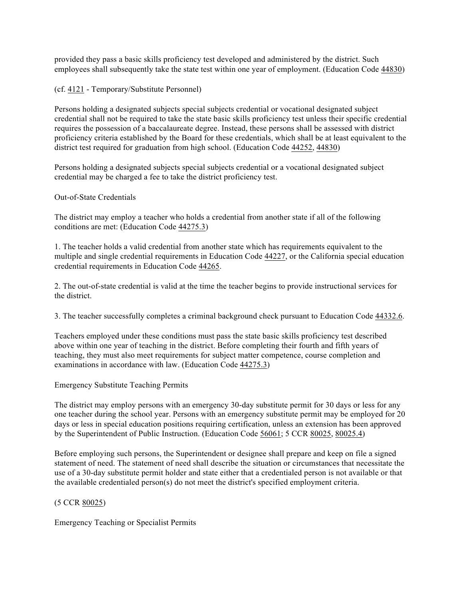provided they pass a basic skills proficiency test developed and administered by the district. Such employees shall subsequently take the state test within one year of employment. (Education Code 44830)

(cf. 4121 - Temporary/Substitute Personnel)

Persons holding a designated subjects special subjects credential or vocational designated subject credential shall not be required to take the state basic skills proficiency test unless their specific credential requires the possession of a baccalaureate degree. Instead, these persons shall be assessed with district proficiency criteria established by the Board for these credentials, which shall be at least equivalent to the district test required for graduation from high school. (Education Code 44252, 44830)

Persons holding a designated subjects special subjects credential or a vocational designated subject credential may be charged a fee to take the district proficiency test.

### Out-of-State Credentials

The district may employ a teacher who holds a credential from another state if all of the following conditions are met: (Education Code 44275.3)

1. The teacher holds a valid credential from another state which has requirements equivalent to the multiple and single credential requirements in Education Code 44227, or the California special education credential requirements in Education Code 44265.

2. The out-of-state credential is valid at the time the teacher begins to provide instructional services for the district.

3. The teacher successfully completes a criminal background check pursuant to Education Code 44332.6.

Teachers employed under these conditions must pass the state basic skills proficiency test described above within one year of teaching in the district. Before completing their fourth and fifth years of teaching, they must also meet requirements for subject matter competence, course completion and examinations in accordance with law. (Education Code 44275.3)

Emergency Substitute Teaching Permits

The district may employ persons with an emergency 30-day substitute permit for 30 days or less for any one teacher during the school year. Persons with an emergency substitute permit may be employed for 20 days or less in special education positions requiring certification, unless an extension has been approved by the Superintendent of Public Instruction. (Education Code 56061; 5 CCR 80025, 80025.4)

Before employing such persons, the Superintendent or designee shall prepare and keep on file a signed statement of need. The statement of need shall describe the situation or circumstances that necessitate the use of a 30-day substitute permit holder and state either that a credentialed person is not available or that the available credentialed person(s) do not meet the district's specified employment criteria.

# (5 CCR 80025)

Emergency Teaching or Specialist Permits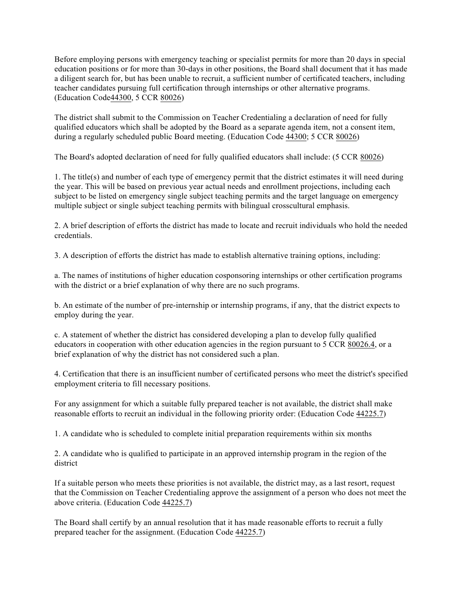Before employing persons with emergency teaching or specialist permits for more than 20 days in special education positions or for more than 30-days in other positions, the Board shall document that it has made a diligent search for, but has been unable to recruit, a sufficient number of certificated teachers, including teacher candidates pursuing full certification through internships or other alternative programs. (Education Code44300, 5 CCR 80026)

The district shall submit to the Commission on Teacher Credentialing a declaration of need for fully qualified educators which shall be adopted by the Board as a separate agenda item, not a consent item, during a regularly scheduled public Board meeting. (Education Code 44300; 5 CCR 80026)

The Board's adopted declaration of need for fully qualified educators shall include: (5 CCR 80026)

1. The title(s) and number of each type of emergency permit that the district estimates it will need during the year. This will be based on previous year actual needs and enrollment projections, including each subject to be listed on emergency single subject teaching permits and the target language on emergency multiple subject or single subject teaching permits with bilingual crosscultural emphasis.

2. A brief description of efforts the district has made to locate and recruit individuals who hold the needed credentials.

3. A description of efforts the district has made to establish alternative training options, including:

a. The names of institutions of higher education cosponsoring internships or other certification programs with the district or a brief explanation of why there are no such programs.

b. An estimate of the number of pre-internship or internship programs, if any, that the district expects to employ during the year.

c. A statement of whether the district has considered developing a plan to develop fully qualified educators in cooperation with other education agencies in the region pursuant to 5 CCR 80026.4, or a brief explanation of why the district has not considered such a plan.

4. Certification that there is an insufficient number of certificated persons who meet the district's specified employment criteria to fill necessary positions.

For any assignment for which a suitable fully prepared teacher is not available, the district shall make reasonable efforts to recruit an individual in the following priority order: (Education Code 44225.7)

1. A candidate who is scheduled to complete initial preparation requirements within six months

2. A candidate who is qualified to participate in an approved internship program in the region of the district

If a suitable person who meets these priorities is not available, the district may, as a last resort, request that the Commission on Teacher Credentialing approve the assignment of a person who does not meet the above criteria. (Education Code 44225.7)

The Board shall certify by an annual resolution that it has made reasonable efforts to recruit a fully prepared teacher for the assignment. (Education Code 44225.7)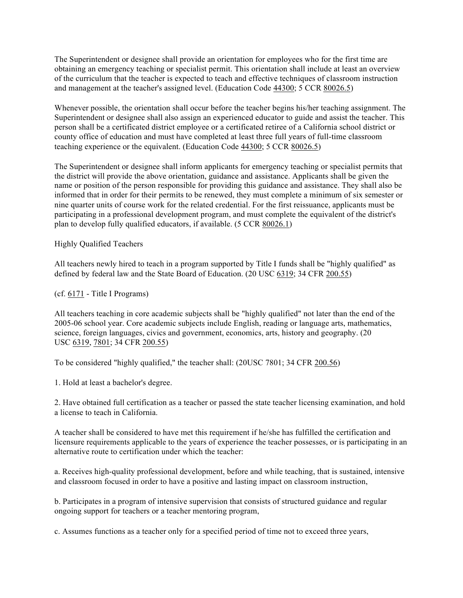The Superintendent or designee shall provide an orientation for employees who for the first time are obtaining an emergency teaching or specialist permit. This orientation shall include at least an overview of the curriculum that the teacher is expected to teach and effective techniques of classroom instruction and management at the teacher's assigned level. (Education Code 44300; 5 CCR 80026.5)

Whenever possible, the orientation shall occur before the teacher begins his/her teaching assignment. The Superintendent or designee shall also assign an experienced educator to guide and assist the teacher. This person shall be a certificated district employee or a certificated retiree of a California school district or county office of education and must have completed at least three full years of full-time classroom teaching experience or the equivalent. (Education Code 44300; 5 CCR 80026.5)

The Superintendent or designee shall inform applicants for emergency teaching or specialist permits that the district will provide the above orientation, guidance and assistance. Applicants shall be given the name or position of the person responsible for providing this guidance and assistance. They shall also be informed that in order for their permits to be renewed, they must complete a minimum of six semester or nine quarter units of course work for the related credential. For the first reissuance, applicants must be participating in a professional development program, and must complete the equivalent of the district's plan to develop fully qualified educators, if available. (5 CCR 80026.1)

Highly Qualified Teachers

All teachers newly hired to teach in a program supported by Title I funds shall be "highly qualified" as defined by federal law and the State Board of Education. (20 USC 6319; 34 CFR 200.55)

(cf. 6171 - Title I Programs)

All teachers teaching in core academic subjects shall be "highly qualified" not later than the end of the 2005-06 school year. Core academic subjects include English, reading or language arts, mathematics, science, foreign languages, civics and government, economics, arts, history and geography. (20 USC 6319, 7801; 34 CFR 200.55)

To be considered "highly qualified," the teacher shall: (20USC 7801; 34 CFR 200.56)

1. Hold at least a bachelor's degree.

2. Have obtained full certification as a teacher or passed the state teacher licensing examination, and hold a license to teach in California.

A teacher shall be considered to have met this requirement if he/she has fulfilled the certification and licensure requirements applicable to the years of experience the teacher possesses, or is participating in an alternative route to certification under which the teacher:

a. Receives high-quality professional development, before and while teaching, that is sustained, intensive and classroom focused in order to have a positive and lasting impact on classroom instruction,

b. Participates in a program of intensive supervision that consists of structured guidance and regular ongoing support for teachers or a teacher mentoring program,

c. Assumes functions as a teacher only for a specified period of time not to exceed three years,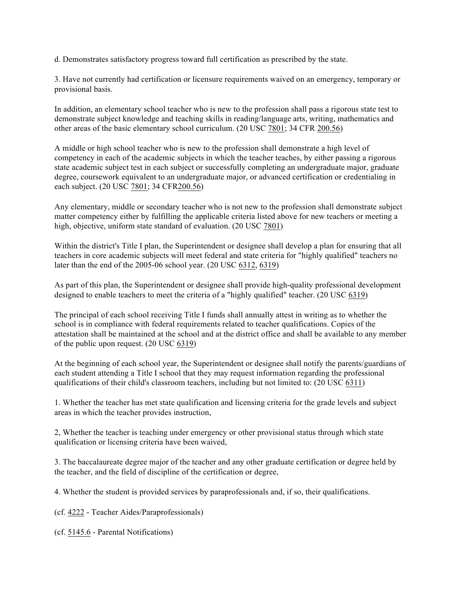d. Demonstrates satisfactory progress toward full certification as prescribed by the state.

3. Have not currently had certification or licensure requirements waived on an emergency, temporary or provisional basis.

In addition, an elementary school teacher who is new to the profession shall pass a rigorous state test to demonstrate subject knowledge and teaching skills in reading/language arts, writing, mathematics and other areas of the basic elementary school curriculum. (20 USC 7801; 34 CFR 200.56)

A middle or high school teacher who is new to the profession shall demonstrate a high level of competency in each of the academic subjects in which the teacher teaches, by either passing a rigorous state academic subject test in each subject or successfully completing an undergraduate major, graduate degree, coursework equivalent to an undergraduate major, or advanced certification or credentialing in each subject. (20 USC 7801; 34 CFR200.56)

Any elementary, middle or secondary teacher who is not new to the profession shall demonstrate subject matter competency either by fulfilling the applicable criteria listed above for new teachers or meeting a high, objective, uniform state standard of evaluation. (20 USC 7801)

Within the district's Title I plan, the Superintendent or designee shall develop a plan for ensuring that all teachers in core academic subjects will meet federal and state criteria for "highly qualified" teachers no later than the end of the 2005-06 school year. (20 USC 6312, 6319)

As part of this plan, the Superintendent or designee shall provide high-quality professional development designed to enable teachers to meet the criteria of a "highly qualified" teacher. (20 USC 6319)

The principal of each school receiving Title I funds shall annually attest in writing as to whether the school is in compliance with federal requirements related to teacher qualifications. Copies of the attestation shall be maintained at the school and at the district office and shall be available to any member of the public upon request. (20 USC 6319)

At the beginning of each school year, the Superintendent or designee shall notify the parents/guardians of each student attending a Title I school that they may request information regarding the professional qualifications of their child's classroom teachers, including but not limited to: (20 USC 6311)

1. Whether the teacher has met state qualification and licensing criteria for the grade levels and subject areas in which the teacher provides instruction,

2, Whether the teacher is teaching under emergency or other provisional status through which state qualification or licensing criteria have been waived,

3. The baccalaureate degree major of the teacher and any other graduate certification or degree held by the teacher, and the field of discipline of the certification or degree,

4. Whether the student is provided services by paraprofessionals and, if so, their qualifications.

(cf. 4222 - Teacher Aides/Paraprofessionals)

(cf. 5145.6 - Parental Notifications)